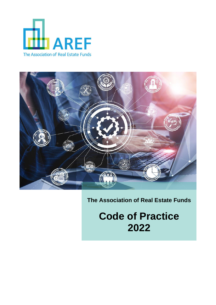



# **The Association of Real Estate Funds**

**Code of Practice 2022**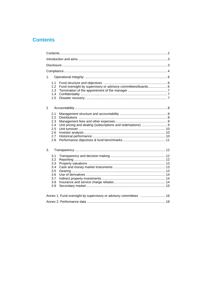# **Contents**

| 1.                                                                                               |  |  |  |  |
|--------------------------------------------------------------------------------------------------|--|--|--|--|
| 1.1<br>Fund oversight by supervisory or advisory committees/boards 6<br>1.2<br>1.3<br>1.4<br>1.5 |  |  |  |  |
| 2                                                                                                |  |  |  |  |
| 2.1<br>2.2<br>2.3<br>2.4<br>2.5<br>2.6<br>2.7<br>2.8                                             |  |  |  |  |
| 3.<br>3.1<br>3.2<br>3.3<br>3.4<br>3.5<br>3.6<br>3.7<br>3.8<br>3.9                                |  |  |  |  |
| Annex 1: Fund oversight by supervisory or advisory committees  16                                |  |  |  |  |
|                                                                                                  |  |  |  |  |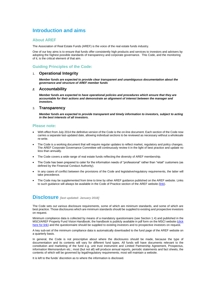# **Introduction and aims**

## **About AREF**

The Association of Real Estate Funds (AREF) is the voice of the real estate funds industry.

One of our key aims is to ensure that funds offer consistently high products and services to investors and advisers by adopting the highest possible standards of transparency and corporate governance. This Code, and the monitoring of it, is the critical element of that aim.

# **Guiding Principles of the Code:**

## 1. **Operational Integrity**

*Member funds are expected to provide clear transparent and unambiguous documentation about the governance and structure of AREF member funds*

#### *2.* **Accountability**

*Member funds are expected to have operational policies and procedures which ensure that they are accountable for their actions and demonstrate an alignment of interest between the manager and investors.*

### 3. **Transparency**

*Member funds are expected to provide transparent and timely information to investors, subject to acting in the best interests of all investors.*

## **Please note:**

- With effect from July 2014 the definitive version of the Code is the on-line document. Each section of the Code now carries a separate last-updated date, allowing individual sections to be reviewed as necessary without a wholesale re-write.
- The Code is a working document that will require regular updates to reflect market, regulatory and policy changes. The AREF Corporate Governance Committee will continuously review it in the light of best practice and update no less than annually.
- The Code covers a wide range of real estate funds reflecting the diversity of AREF membership.
- The Code has been prepared to cater for the information needs of "professional" rather than "retail" customers (as defined by the Financial Conduct Authority).
- In any cases of conflict between the provisions of the Code and legislative/regulatory requirements, the latter will take precedence.
- The Code may be supplemented from time to time by other AREF guidance published on the AREF website. Links to such guidance will always be available in the Code of Practice section of the AREF website [\(link\)](https://www.aref.org.uk/code-of-practice.html).

# **Disclosure** *[last updated: January 2018]*

The Code sets out various disclosure requirements, some of which are minimum standards, and some of which are best practice. Those disclosures which are minimum standards should be supplied to existing and prospective investors on request.

Minimum compliance data is collected by means of a mandatory questionnaire (see Section 1.4) and published in the MSCI/AREF Property Fund Vision Handbook; the handbook is publicly available in pdf form on the MSCI website [\(click](https://www.msci.com/www/ipd-factsheets/aref-ipd-uk-quarterly-property/0163317547)  [here for link\)](https://www.msci.com/www/ipd-factsheets/aref-ipd-uk-quarterly-property/0163317547) and the questionnaire should be supplied to existing investors and to prospective investors on request.

A key sub-set of the minimum compliance data is automatically downloaded to the fund page of the AREF website on a quarterly basis.

In general, the Code is not prescriptive about where the disclosures should be made, because the type of documentation and its contents will vary for different fund types. All funds will have documents relevant to the constitution and marketing of the fund e.g. unit trust instrument and Limited Partnership Agreement, Prospectus, information Memorandum etc.; most (but not all) will produce annual reports, periodic statements and fact sheets, the contents of which will be governed by legal/regulatory requirements; most will maintain a website.

It is left to the funds' discretion as to where the information is disclosed.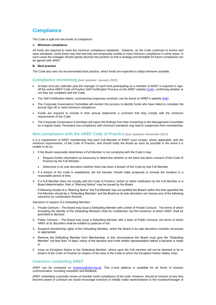# **Compliance**

The Code is split into two levels of compliance:

#### A. **Minimum compliance**

All funds are required to meet the minimum compliance standards. However, as the Code continues to evolve and raise standards, some funds may find that they are temporarily unable to meet minimum compliance in some areas. In such cases the manager should openly disclose the position so that a strategy and timetable for future compliance can be agreed with AREF.

#### **B. Best practice**

The Code also sets out recommended best practice, which funds are expected to adopt wherever possible.

### **Compliance monitoring** *[last updated: January 2021]*

- At least once per calendar year the manager of each fund participating as a member of AREF is required to sign-off the online AREF Code of Practice Self-Certification Process on the AREF website [\(Link\)](https://www.aref.org.uk/code-of-practice.html), confirming whether or not they are compliant with the Code.
- The Self-Certification Matrix, summarising responses received, can be found on AREF's website [\(link\)](https://www.aref.org.uk/code-of-practice.html).
- The Corporate Governance Committee will monitor the process to identify funds who have failed to complete the annual sign-off or meet minimum compliance.
- Funds are required to include in their annual statements a comment that they comply with the minimum requirements of the Code.
- The Corporate Governance Committee will report the findings from their monitoring to the Management Committee on a regular basis. Persistent non-compliance with minimum standards may lead to suspension from membership.

## **Non-compliance with the AREF Code of Practice** *[last updated: November 2017]*

It is a requirement of AREF membership that each Full Member of AREF must comply, where applicable, with the minimum requirements, of the Code of Practice, and should notify the Board as soon as possible in the event it is unable to do so.

1. If the Board reasonably determines a Full Member is not complying with the Code it may:

- Request further information as necessary to determine whether or not there has been a breach of the Code of Practice by the Full Member.
- Determine in its sole discretion whether there has been a breach of the Code by that Full Member.
- 2. If a breach of the Code is established, the full member should make proposals to remedy the situation in a reasonable period of time.
- 3. If a Full Member does not comply with the Code of Practice, further to either notification by the Full Member or a Board determination, then a "Warning Notice" may be issued by the Board.

If following receipt of a "Warning Notice" the Full Member has not rectified the Breach within the time specified the Full Member should be a "Defaulting Member" and the Board as its sole discretion can impose any of the following sanctions (or combination thereof).

Sanctions in respect of a Defaulting Member:

- 1. Private Censure The Board may issue a Defaulting Member with a letter of Private Censure. The terms of which (including the identity of the Defaulting Member) shall be confidential, but the existence of which AREF shall be permitted to disclose.
- 2. Public Censure The Board may issue a Defaulting Member with a letter of Public Censure, the terms of which AREF at its discretion shall be entitled to publicise in full.
- 3. Suspend membership rights of the Defaulting Member, which the Board in its sole discretion consider necessary or appropriate.
- 4. Remove the Defaulting Member from Membership, in this circumstance the Board must give the "Defaulting Member" not less than 14 days' notice of the decision and invite written representation before a decision is made or
- 5. Issue an Exception Notice to the Defaulting Member, where upon the Full member will not be deemed to be in breach of the Code of Practice (in respect of the area of the Code to which the Exception Notice relates only).

## **Investors contacting AREF**

AREF can be contacted on [investors@aref.org.uk.](mailto:investors@aref.org.uk) This e-mail address is available for all forms of investor communication, including complaint and feedback,

AREF undertakes a periodic review of member funds compliance of the code. However, should an investor at any time become aware of a breach we would encourage investors to initially make representation to the trustees/manager of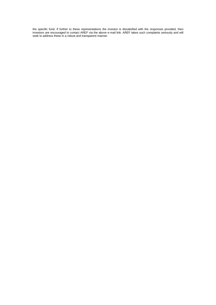the specific fund. If further to these representations the investor is dissatisfied with the responses provided, then investors are encouraged to contact AREF via the above e-mail link. AREF takes such complaints seriously and will seek to address these in a robust and transparent manner.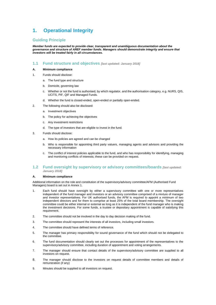# **1. Operational Integrity**

# **Guiding Principle**

*Member funds are expected to provide clear, transparent and unambiguous documentation about the governance and structure of AREF member funds. Managers should demonstrate integrity and ensure that investors will be treated fairly in all circumstances.*

# **1.1 Fund structure and objectives** *[last updated: January 2018]*

#### **A. Minimum compliance**

- 1. Funds should disclose:
	- a. The fund type and structure
	- b. Domicile, governing law
	- c. Whether or not the fund is authorised, by which regulator, and the authorisation category, e.g. NURS, QIS, UCITS, PIF, QIF and Managed Funds.
	- d. Whether the fund is closed-ended, open-ended or partially open-ended.
- 2. The following should also be disclosed:
	- a. Investment objectives
	- b. The policy for achieving the objectives
	- c. Any investment restrictions
	- d. The type of investors that are eligible to invest in the fund.
- 3. Funds should disclose:
	- a. How its policies are agreed and can be changed
	- b. Who is responsible for appointing third party valuers, managing agents and advisors and providing the necessary information
	- c. The conflict of interest policies applicable to the fund, and who has responsibility for identifying, managing and monitoring conflicts of interests; these can be provided on request.

## **1.2 Fund oversight by supervisory or advisory committees/boards** *[last updated: January 2018]*

#### **A. Minimum compliance**

Additional information on the role and constitution of the supervisory/advisory committee/AFM (Authorised Fund Managers) board is set out in Annex 1.

- 1. Each fund should have oversight by either a supervisory committee with one or more representatives independent of the fund manager and investors or an advisory committee comprised of a mixture of manager and investor representatives. For UK authorised funds, the AFM is required to appoint a minimum of two independent directors and for them to comprise at least 25% of the total board membership. The oversight committee could be either internal or external as long as it is independent of the fund manager who is making the investment decisions. For some funds, a trustee or depositary appointment is capable of satisfying this requirement.
- 2. The committee should not be involved in the day to day decision making of the fund.
- 3. The committee should represent the interests of all investors, including small investors.
- 4. The committee should have defined terms of reference.
- 5. The manager has primary responsibility for sound governance of the fund which should not be delegated to the committee.
- 6. The fund documentation should clearly set out the processes for appointment of the representatives to the supervisory/advisory committee, including duration of appointment and voting arrangements.
- 7. The manager should ensure that contact details of the supervisory/advisory committee are supplied to all investors on request.
- 8. The manager should disclose to the investors on request details of committee members and details of remuneration (if any)
- 9. Minutes should be supplied to all investors on request.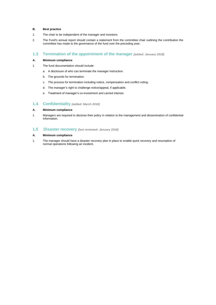## **B. Best practice**

- 1. The chair to be independent of the manager and investors.
- 2. The Fund's annual report should contain a statement from the committee chair outlining the contribution the committee has made to the governance of the fund over the preceding year.

# **1.3 Termination of the appointment of the manager** *[added: January 2018]*

### **A. Minimum compliance**

- 1. The fund documentation should include:
	- a. A disclosure of who can terminate the manager instruction.
	- b. The grounds for termination.
	- c. The process for termination including notice, compensation and conflict voting.
	- d. The manager's right to challenge notice/appeal, if applicable.
	- e. Treatment of manager's co-investment and carried interest.

## **1.4 Confidentiality** *[added: March 2016]*

## **A. Minimum compliance**

1. Managers are required to disclose their policy in relation to the management and dissemination of confidential information.

# **1.5 Disaster recovery** *[last reviewed: January 2018]*

#### **A. Minimum compliance**

1. The manager should have a disaster recovery plan in place to enable quick recovery and resumption of normal operations following an incident.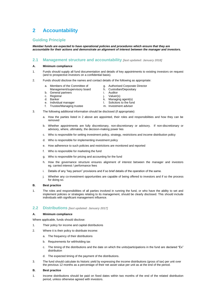# **2 Accountability**

# **Guiding Principle**

*Member funds are expected to have operational policies and procedures which ensure that they are accountable for their actions and demonstrate an alignment of interest between the manager and investors.*

## **2.1 Management structure and accountability** *[last updated: January 2018]*

### **A. Minimum compliance**

- 1. Funds should supply all fund documentation and details of key appointments to existing investors on request (and to prospective investors on a confidential basis).
- 2. Funds should disclose the names and contact details of the following as appropriate:
	- a. Members of the Committee of
- g. Authorised Corporate Director h. Custodian/Depositary
- Management/supervisory board
- b. General partners
- c. Registrar
- d. Banker
- e. Individual manager f. Trustee/Managing trustee
- k. Managing agent(s) l. Solicitors to the fund
- m. Investment adviser

i. Auditor j. Valuer(s)

- 3. The following additional information should be disclosed (if appropriate):
	- a. How the parties listed in 2 above are appointed, their roles and responsibilities and how they can be removed
	- b. Whether appointments are fully discretionary, non-discretionary or advisory. If non-discretionary or advisory, where, ultimately, the decision-making power lies
	- c. Who is responsible for setting investment policy, strategy, restrictions and income distribution policy
	- d. Who is responsible for implementing investment policy
	- e. How adherence to such policies and restrictions are monitored and reported
	- f. Who is responsible for marketing the fund
	- g. Who is responsible for pricing and accounting for the fund
	- h. How the governance structure ensures alignment of interest between the manager and investors eg. carried interest / performance fees
	- i. Details of any "key person" provisions and if so brief details of the operation of the same.
	- j. Whether any co-investment opportunities are capable of being offered to investors and if so the process for doing so.

#### **B. Best practice**

1. The roles and responsibilities of all parties involved in running the fund, or who have the ability to set and implement policies or strategies relating to its management, should be clearly disclosed. This should include individuals with significant management influence.

# **2.2 Distributions** *[last updated: January 2017]*

#### **A. Minimum compliance**

Where applicable, funds should disclose:

- 1. Their policy for income and capital distributions
- 2. Where it is their policy to distribute income:
	- a. The frequency of their distributions
	- b. Requirements for withholding tax
	- c. The timing of the distributions and the date on which the units/participations in the fund are declared "Ex" distribution
	- d. The expected timing of the payment of the distributions.
- 3. The fund should calculate its historic yield by expressing the income distributions (gross of tax) per unit over the previous 12 months as a percentage of their net asset value per unit as at the end of the period.

#### **B. Best practice**

1. Income distributions should be paid on fixed dates within two months of the end of the related distribution period, unless otherwise agreed with investors.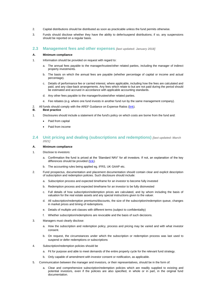- 2. Capital distributions should be distributed as soon as practicable unless the fund permits otherwise.
- 3. Funds should disclose whether they have the ability to defer/suspend distributions; if so, any suspensions should be reported on a regular basis.

## **2.3 Management fees and other expenses** *[last updated: January 2018]*

#### **A. Minimum compliance**

- 1. Information should be provided on request with regard to:
	- a. The annual fees payable to the manager/trustee/other related parties, including the manager of indirect property investments.
	- b. The basis on which the annual fees are payable (whether percentage of capital or income and actual percentage).
	- c. Details of performance fee or carried interest, where applicable, including how the fees are calculated and paid, and any claw-back arrangements. Any fees which relate to but are not paid during the period should be estimated and accrued in accordance with applicable accounting standards.
	- d. Any other fees payable to the manager/trustee/other related parties.
	- e. Fee rebates (e.g. where one fund invests in another fund run by the same management company).
- 2. All funds should comply with the AREF Guidance on Expense Ratios [\(link\)](https://www.aref.org.uk/uploads/assets/e2b6d95b-9e6c-4223-98a34db14a928148/Finalised-TER-Guidance-on-Expense-Ratios-2009.pdf).<br>**B.** Best practice

#### **B. Best practice**

- 1. Disclosures should include a statement of the fund's policy on which costs are borne from the fund and:
	- Paid from capital
	- Paid from income

# **2.4 Unit pricing and dealing (subscriptions and redemptions)** *[last updated: March 2021]*

#### **A. Minimum compliance**

- 1. Disclose to investors:
	- a. Confirmation the fund is priced at the 'Standard NAV' for all investors. If not, an explanation of the key differences should be provided [\(link\)](https://www.aref.org.uk/uploads/assets/62497c65-16b3-415f-bfe1fc31efe7a38d/aref-fund-pricing-recommendations.pdf).
	- b. The accounting rules being applied eg. IFRS, UK GAAP etc.
- 2. Fund prospectus, documentation and placement documentation should contain clear and explicit description of subscription and redemption policies. Such disclosure should include:
	- a. Subscription process and expected timeframe for an investor to become fully invested
	- b. Redemption process and expected timeframe for an investor to be fully disinvested
	- c. Full details of how subscription/redemption prices are calculated, and by whom including the basis of valuation for the real estate assets and any special instructions given to the valuer.
	- d. All subscription/redemption premiums/discounts, the size of the subscription/redemption queue, changes in market prices and timing of redemptions.
	- e. Details of multiple unit classes with different terms (subject to confidentiality)
	- f. Whether subscription/redemptions are revocable and the basis of such decisions.
- 3. Managers must clearly disclose:
	- a. How the subscription and redemption policy, process and pricing may be varied and with what investor consent.
	- b. On request, the circumstances under which the subscription or redemption process was last used to suspend or defer redemptions or subscriptions
- 4. Subscription/redemption policies should be
	- a. Fit for purpose and able to meet demands of the entire property cycle for the relevant fund strategy.
	- b. Only capable of amendment with investor consent or notification, as applicable.
- 5. Communication between the manager and investors, or their representatives, should be in the form of:
	- Clear and comprehensive subscription/redemption policies which are readily supplied to existing and potential investors, even if the policies are also specified, in whole or in part, in the original fund documentation.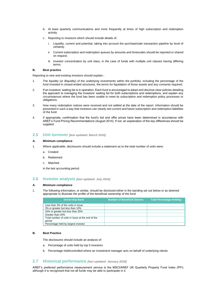- b. At least quarterly communications and more frequently at times of high subscription and redemption activity.
- c. Reporting to investors which should include details of:
	- i. Liquidity, current and potential, taking into account the purchase/sale transaction pipeline by level of certainty.
	- ii. Current subscription and redemption queues by amounts and timescales should be reported or shared on request.
	- iii. Investor concentration by unit class, in the case of funds with multiple unit classes having differing terms.

#### **B. Best practice**

Reporting to new and existing investors should explain:-

- 1. The liquidity (or illiquidity) of the underlying investments within the portfolio, including the percentage of the fund invested in closed-ended structures, the terms for liquidation of those assets and any consents required.
- 2. If an investors' waiting list is in operation. Each fund is encouraged to adopt and disclose clear policies detailing the approach to managing the investors' waiting list for both subscriptions and redemptions, and explain any circumstances where the fund has been unable to meet its subscription and redemption policy processes or obligations.
- 3. How many redemption notices were received and not settled at the date of the report. Information should be presented in such a way that investors can clearly see current and future subscription and redemption liabilities of the fund.
- 4. If appropriate, confirmation that the fund's bid and offer prices have been determined in accordance with AREF's Fund Pricing Recommendations (August 2014). If not, an explanation of the key differences should be supplied.

### **2.5 Unit turnover** *[last updated: March 2016]*

#### **A. Minimum compliance**

- 1. Where applicable, disclosures should include a statement as to the total number of units were:
	- a. Created
	- b. Redeemed
	- c. Matched

in the last accounting period.

## **2.6 Investor analysis** *[last updated: July 2014]*

#### **A. Minimum compliance**

1. The following information, or similar, should be disclosed either in the banding set out below or as deemed appropriate to illustrate the profile of the beneficial ownership of the fund:

| <b>Ownership Band</b>                                      | Number of Beneficial Owners, | <b>Total Percentage Holding</b> |
|------------------------------------------------------------|------------------------------|---------------------------------|
| Less than 3% of the units in issue                         |                              |                                 |
| 3% or greater but less than 10%                            |                              |                                 |
| 10% or greater but less than 20%                           |                              |                                 |
| Greater than 20%                                           |                              |                                 |
| Total number of units in issue at the end of the<br>period |                              |                                 |
| Percentage held by largest investor                        |                              |                                 |

#### **B. Best Practice**

The disclosures should include an analysis of:

- a. Percentage of units held by top 5 investors
- b. Percentage held/controlled where an investment manager acts on behalf of underlying clients

## **2.7 Historical performance** *[last updated: January 2018]*

AREF's preferred performance measurement service is the MSCI/AREF UK Quarterly Property Fund Index (PFI) although it is recognised that not all funds may be able to participate in it.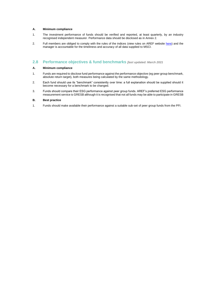### **A. Minimum compliance**

- 1. The investment performance of funds should be verified and reported, at least quarterly, by an industry recognised independent measurer. Performance data should be disclosed as in Annex 2.
- 2. Full members are obliged to comply with the rules of the indices (view rules on AREF website [here\)](https://www.aref.org.uk/resource/uk-pfi-rules.html) and the manager is accountable for the timeliness and accuracy of all data supplied to MSCI.

# **2.8 Performance objectives & fund benchmarks** *[last updated: March 2021*

#### **A. Minimum compliance**

- 1. Funds are required to disclose fund performance against the performance objective (eg peer group benchmark, absolute return target), both measures being calculated by the same methodology.
- 2. Each fund should use its "benchmark" consistently over time: a full explanation should be supplied should it become necessary for a benchmark to be changed.
- 3. Funds should compare their ESG performance against peer group funds. AREF's preferred ESG performance measurement service is GRESB although it is recognised that not all funds may be able to participate in GRESB

#### **B. Best practice**

1. Funds should make available their performance against a suitable sub-set of peer group funds from the PFI.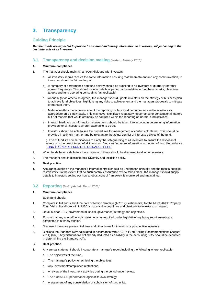# **3. Transparency**

# **Guiding Principle**

*Member funds are expected to provide transparent and timely information to investors, subject acting in the best interests of all investors*

## **3.1 Transparency and decision making** *[added: January 2018]*

### **A. Minimum compliance**

- 1. The manager should maintain an open dialogue with investors:
	- a. All investors should receive the same information ensuring that the treatment and any communication, to investors should be fair and equal.
	- b. A summary of performance and fund activity should be supplied to all investors at quarterly (or other agreed frequency). This should include details of performance relative to fund benchmarks, objectives, targets and fund operating constraints (as applicable).
	- c. Annually (or as otherwise agreed) the manager should update investors on the strategy or business plan to achieve fund objectives, highlighting any risks to achievement and the managers proposals to mitigate or manage them.
	- d. Material matters that arise outside of the reporting cycle should be communicated to investors as appropriate on a timely basis. This may cover significant regulatory, governance or constitutional matters but not matters that would ordinarily be captured within the reporting on normal fund activities.
	- e. Investor feedback on information requirements should be taken into account in determining information provision for all investors where reasonable to do so.
	- f. Investors should be able to see the procedures for management of conflicts of interest. This should be provided in a timely manner and be relevant to the actual conflict of interests policies of the fund.

g. End of fund life communications to clarify the safeguarding of all investors to ensure the disposal of assets is in the best interest of all investors. You can find more information in the end of fund life guidance. [\( LINK TO END OF FUND LIFE GUIDANCE HERE\)](https://www.aref.org.uk/resource/end-of-fund-life-project.html)

- 2. When funds have side letters the existence of these should be disclosed to all other investors.
- 3. The manager should disclose their Diversity and Inclusion policy.

#### **B. Best practice**

1. Assurance audits on the manager's internal controls should be undertaken annually and the results supplied to investors. To the extent that no such controls assurance review takes place, the manager should supply details to investors setting out how a robust control framework is monitored and maintained.

## **3.2 Reporting** *[last updated: March 2021]*

#### **A. Minimum compliance**

Each fund should:

- 1. Complete in full and submit the data collection template (AREF Questionnaire) for the MSCI/AREF Property Fund Vision Handbook within MSCI's submission deadlines and distribute to investors on request.
- 2. Detail a clear ESG (environmental, social, governance) strategy and objectives.
- 3. Ensure that any annual/periodic statements as required under legislative/regulatory requirements are completed in a timely fashion.
- 4. Disclose if there are preferential fees and other terms for investors or prospective investors.
- 5. Disclose the Standard NAV calculated in accordance with AREF's Fund Pricing Recommendations (August 2014) (link). Any distributions not already deducted as a liability in the accounting NAV should be deducted in determining the Standard NAV.

## **B. Best practice**

- 1. Any annual statement should incorporate a manager's report including the following where applicable:
	- a. The objectives of the fund.
	- b. The manager's policy for achieving the objectives.
	- c. Any investment/compliance restrictions.
	- d. A review of the investment activities during the period under review.
	- e. The fund's ESG performance against its own strategy*.*
	- f. A statement of any consolidation or subdivision of fund units.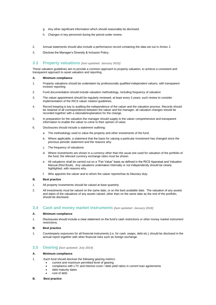- g. Any other significant information which should reasonably be disclosed.
- h. Changes in key personnel during the period under review.
- 2. Annual statements should also include a performance record containing the data set out in Annex 2.
- 3. Disclose the Manager's Diversity & Inclusion Policy.

## **3.3 Property valuations** *[last updated: January 2015]*

These valuation guidelines aim to provide a common approach to property valuation, to achieve a consistent and transparent approach to asset valuation and reporting.

#### **A. Minimum compliance**

- 1. Property valuations should be undertaken by professionally qualified independent valuers, with transparent investor reporting.
- 2. Fund documentation should include valuation methodology, including frequency of valuation
- 3. The valuer appointment should be regularly reviewed, at least every 3 years; such review to consider implementation of the RICS valuer rotation guidelines.
- 4. Record keeping is key to auditing the independence of the valuer and the valuation process. Records should be retained of all correspondence between the valuer and the manager, all valuation changes should be recorded together with a rationale/explanation for the change.
- 5. In preparation for the valuation the manager should supply to the valuer comprehensive and transparent information to enable the valuer to come to their opinion of value.
- 6. Disclosures should include a statement outlining:
	- a. The methodology used to value the property and other investments of the fund.
	- b. Where applicable, a statement that the basis for valuing a particular investment has changed since the previous periodic statement and the reasons why.
	- c. The frequency of valuations.
	- d. Where investments are shown in a currency other than the usual one used for valuation of the portfolio of the fund, the relevant currency exchange rates must be shown.
	- e. All valuations shall be carried out on a "Fair Value" basis as defined in the RICS Appraisal and Valuation Manual (Red Book). Any valuations undertaken internally or not independently should be clearly highlighted, with reasons why.
	- f. Who appoints the valuer and to whom the valuer reports/has its fiduciary duty.

#### **B. Best practice**

- 1. All property investments should be valued at least quarterly.
- 2. All investments must be valued on the same date, or on the best available date. The valuation of any assets and dates of the valuations of any assets valued, other than on the same date as the rest of the portfolio, should be disclosed.

# **3.4 Cash and money market instruments** *[last updated: January 2018]*

## **A. Minimum compliance**

- 1. Disclosures should include a clear statement on the fund's cash restrictions or other money market instrument restrictions.
- **B. Best practice**
- 1. Counterparty exposures for all financial instruments (i.e. for cash, swaps, debt etc.) should be disclosed in the annual report together with other financial risks such as foreign exchange.

# **3.5 Gearing** *[last updated: July 2014]*

### **A. Minimum compliance**

- 1. Each fund should disclose the following gearing metrics:
	- current and maximum permitted level of gearing
		- compliance with LTV and interest cover / debt yield ratios in current loan agreements
		- debt maturity dates
	- cost of debt

#### **B. Best practice**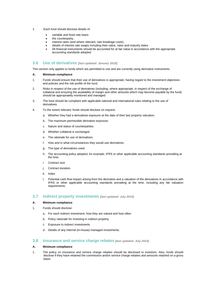- 1. Each fund should disclose details of:
	- variable and fixed rate loans
	- the counterparty.
	- interest rates (and where relevant, rate breakage costs),
	- details of interest rate swaps including their value, rates and maturity dates
	- All financial instruments should be accounted for at fair value in accordance with the appropriate accounting standards adopted

#### **3.6 Use of derivatives** *[last updated: January 2018]*

This section only applies to funds which are permitted to use and are currently using derivative instruments.

### **A. Minimum compliance**

- 1. Funds should ensure that their use of derivatives is appropriate, having regard to the investment objectives and policies and the risk profile of the fund.
- 2. Risks in respect of the use of derivatives (including, where appropriate, in respect of the exchange of collateral and ensuring the availability of margin and other amounts which may become payable by the fund) should be appropriately monitored and managed.
- 3. The fund should be compliant with applicable national and international rules relating to the use of derivatives.
- 4. To the extent relevant, funds should disclose on request:
	- a. Whether they had a derivatives exposure at the date of their last property valuation.
	- b. The maximum permissible derivative exposure.
	- c. Nature and status of counterparties.
	- d. Whether collateral is exchanged.
	- e. The rationale for use of derivatives.
	- f. How and in what circumstances they would use derivatives.
	- g. The type of derivatives used.
	- h. The accounting policy adopted, for example, IFRS or other applicable accounting standards prevailing at the time.
	- i. Contract size
	- j. Contract duration
	- k. Index
	- l. Potential cash flow impact arising from the derivative and a valuation of the derivatives in accordance with IFRS or other applicable accounting standards prevailing at the time, including any fair valuation requirements.

# **3.7 Indirect property investments** *[last updated: July 2014]*

#### **A. Minimum compliance**

- 1. Funds should disclose:
	- a. For each indirect investment, how they are valued and how often
	- b. Policy rationale for investing in indirect property
	- c. Exposure to indirect investments
	- d. Details of any internal (in-house) managed investments.

## **3.8 Insurance and service charge rebates** *[last updated: July 2014]*

#### **A. Minimum compliance**

1. The policy on insurance and service charge rebates should be disclosed to investors. Also, funds should disclose if they have retained the commission and/or service charge rebates and amounts retained on a gross basis.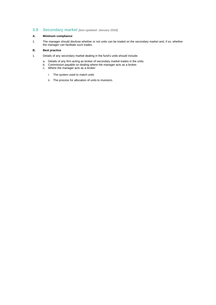# **3.9 Secondary market** *[last updated: January 2018]*

## **A. Minimum compliance**

1. The manager should disclose whether or not units can be traded on the secondary market and, if so, whether the manager can facilitate such trades.

# **B. Best practice**

- 1. Details of any secondary market dealing in the fund's units should include:
	- a. Details of any firm acting as broker of secondary market trades in the units.
		- b. Commission payable on dealing where the manager acts as a broker.
		- c. Where the manager acts as a broker:
			- i. The system used to match units
			- ii. The process for allocation of units to investors.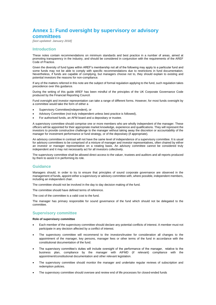# **Annex 1: Fund oversight by supervisory or advisory committees**

*[last updated: January 2018]*

## **Introduction**

These notes contain recommendations on minimum standards and best practice in a number of areas, aimed at promoting transparency in the industry, and should be considered in conjunction with the requirements of the AREF Code of Practice.

Given the diversity of fund types within AREF's membership not all of the following may apply to a particular fund and some funds may not be able to comply with specific recommendations due to restrictions in fund documentation. Nevertheless, if funds are capable of complying, but managers choose not to, they should explain to existing and potential investors the reasons for non-compliance.

If any of the matters referred in this note are the subject of formal regulation applying to the fund, such regulation takes precedence over this guidance.

During the writing of this guide AREF has been mindful of the principles of the UK Corporate Governance Code produced by the Financial Reporting Council.

Fund oversight and investor representation can take a range of different forms. However, for most funds oversight by a committee would take the form of either a

- Supervisory Committee(independent), or
- Advisory Committee (not truly independent unless best practice is followed),
- For authorised funds, an AFM board and a depositary or trustee.

A supervisory committee should comprise one or more members who are wholly independent of the manager. These officers will be appointed for their appropriate market knowledge, experience and qualifications. They will represent the investors to provide constructive challenge to the manager without taking away the discretion or accountability of the manager for investment performance or fund strategy, or of the depositary (if appropriate).

An advisory committee in contrast will not have the same level of independence of a supervisory committee. It is usual for advisory committees to be comprised of a mixture of manager and investor representatives, often chaired by either an investor or manager representative on a rotating basis. An advisory committee cannot be considered truly independent and it may not necessarily act for all investors collectively.

The supervisory committee shall be allowed direct access to the valuer, trustees and auditors and all reports produced by them to assist it in performing its role.

## **Guidance**

Managers should, in order to try to ensure that principles of sound corporate governance are observed in the management of funds, appoint either a supervisory or advisory committee with, where possible, independent members, including an independent chair.

The committee should not be involved in the day to day decision making of the fund.

The committee should have defined terms of reference.

The cost of the committee is a valid cost to the fund.

The manager has primary responsible for sound governance of the fund which should not be delegated to the committee.

# **Supervisory committee**

#### **Role of supervisory committee**

- Each member of the supervisory committee should declare any potential conflicts of interest. A member must not participate in any decision affected by a conflict of interest.
- The supervisory committee will recommend to the investors/trustee for consideration all changes to the appointment of the manager, key persons, manager fees or other terms of the fund in accordance with the constitutional documentation of the fund.
- The supervisory committee's duties will include oversight of the performance of the manager, relative to the business plan, compliance by the manager with AIFMD (if relevant) compliance with the appointment/constitutional documentation and other relevant legislation.
- The supervisory committee should monitor the manager and undertake regular reviews of subscription and redemption policies.
- The supervisory committee should oversee and review end of life processes for closed-ended funds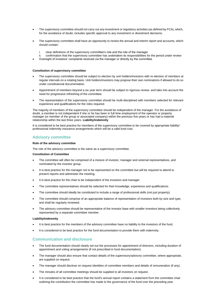- The supervisory committee should not carry out any investment or regulatory activities (as defined by FCA), which, for the avoidance of doubt, includes specific approval to any investment or divestment decisions.
- The supervisory committee shall have an opportunity to review the annual and interim report and accounts, which should contain:
	- clear definitions of the supervisory committee's role and the role of the manager
- ii. confirmation that the supervisory committee has undertaken its responsibilities for the period under review
- Oversight of investors' complaints received via the manager or directly by the committee

#### **Constitution of supervisory committee**

- The supervisory committee should be subject to election by unit holders/investors with re-election of members at regular intervals on a rotating basis. Unit holders/investors may propose their own nominations if allowed to do so under constitutional documentation.
- Appointment of members beyond a six year term should be subject to rigorous review, and take into account the need for progressive refreshing of the committee.
- The representation of the supervisory committee should be multi-disciplined with members selected for relevant experience and qualifications for the roles required.

The majority of members of the supervisory committee should be independent of the manager. For the avoidance of doubt, a member is not independent if she or he has been in full time employment of the operator or property manager (or member of the group or associated company) within the previous five years or has had a material relationship within the last three years. **Liability/indemnity**

It is considered to be best practice for members of the supervisory committee to be covered by appropriate liability/ professional indemnity insurance arrangements which will be a valid fund cost.

## **Advisory committee**

#### **Role of the advisory committee**

The role of the advisory committee is the same as a supervisory committee.

#### **Constitution of Committee**

- The committee will often be comprised of a mixture of investor, manager and external representatives, and nominated by the investor group.
- It is best practice for the manager not to be represented on the committee but will be required to attend to present reports and administer the meeting.
- It is best practice for the chair to be independent of the investors and manager.
- The committee representatives should be selected for their knowledge, experience and qualifications.
- The committee should ideally be constituted to include a range of professional skills (not just property).
- The committee should comprise of an appropriate balance of representation of investors both by size and type, and shall be regularly reviewed.
- The advisory committee should be representative of the investor base with smaller investors being collectively represented by a separate committee member.

#### **Liability/indemnity**

- It is best practice for the members of the advisory committee have no liability to the investors of the fund.
- It is considered to be best practice for the fund documentation to provide them with indemnity.

## **Communication and disclosure**

- The fund documentation should clearly set out the processes for appointment of directors, including duration of appointment and voting arrangements (if not prescribed in fund documentation).
- The manager should also ensure that contact details of the supervisory/advisory committee, where appropriate, are supplied on request.
- The manager should disclose on request identities of committee members and details of remuneration (if any).
- The minutes of all committee meetings should be supplied to all investors on request.
- It is considered to be best practice that the fund's annual report contains a statement from the committee chair outlining the contribution the committee has made to the governance of the fund over the preceding year.